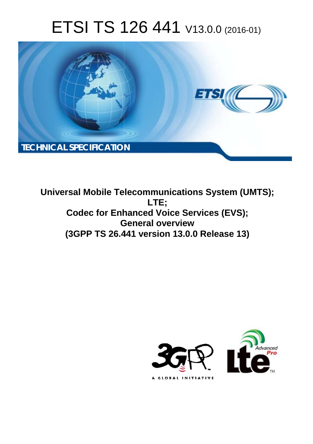# ETSI TS 126 441 V13.0.0 (2016-01)



**Universal Mobile Tel elecommunications System ( (UMTS); Codec for Enhanced Voice Services (EVS); G General overview (3GPP TS 26.4 .441 version 13.0.0 Release 13 13) LTE;** 

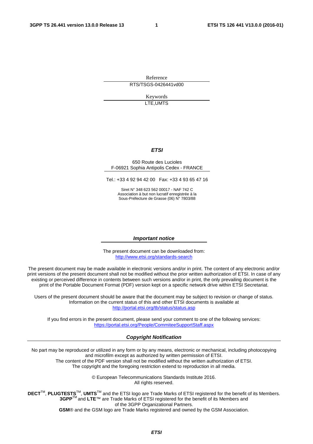Reference RTS/TSGS-0426441vd00

> Keywords LTE,UMTS

#### *ETSI*

#### 650 Route des Lucioles F-06921 Sophia Antipolis Cedex - FRANCE

Tel.: +33 4 92 94 42 00 Fax: +33 4 93 65 47 16

Siret N° 348 623 562 00017 - NAF 742 C Association à but non lucratif enregistrée à la Sous-Préfecture de Grasse (06) N° 7803/88

#### *Important notice*

The present document can be downloaded from: <http://www.etsi.org/standards-search>

The present document may be made available in electronic versions and/or in print. The content of any electronic and/or print versions of the present document shall not be modified without the prior written authorization of ETSI. In case of any existing or perceived difference in contents between such versions and/or in print, the only prevailing document is the print of the Portable Document Format (PDF) version kept on a specific network drive within ETSI Secretariat.

Users of the present document should be aware that the document may be subject to revision or change of status. Information on the current status of this and other ETSI documents is available at <http://portal.etsi.org/tb/status/status.asp>

If you find errors in the present document, please send your comment to one of the following services: <https://portal.etsi.org/People/CommiteeSupportStaff.aspx>

#### *Copyright Notification*

No part may be reproduced or utilized in any form or by any means, electronic or mechanical, including photocopying and microfilm except as authorized by written permission of ETSI.

The content of the PDF version shall not be modified without the written authorization of ETSI. The copyright and the foregoing restriction extend to reproduction in all media.

> © European Telecommunications Standards Institute 2016. All rights reserved.

**DECT**TM, **PLUGTESTS**TM, **UMTS**TM and the ETSI logo are Trade Marks of ETSI registered for the benefit of its Members. **3GPP**TM and **LTE**™ are Trade Marks of ETSI registered for the benefit of its Members and of the 3GPP Organizational Partners.

**GSM**® and the GSM logo are Trade Marks registered and owned by the GSM Association.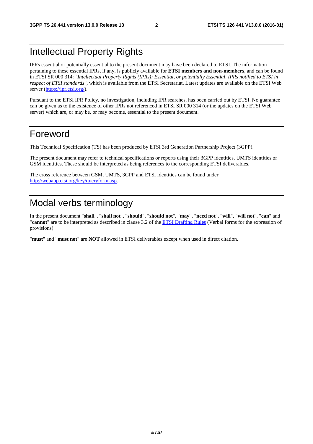#### Intellectual Property Rights

IPRs essential or potentially essential to the present document may have been declared to ETSI. The information pertaining to these essential IPRs, if any, is publicly available for **ETSI members and non-members**, and can be found in ETSI SR 000 314: *"Intellectual Property Rights (IPRs); Essential, or potentially Essential, IPRs notified to ETSI in respect of ETSI standards"*, which is available from the ETSI Secretariat. Latest updates are available on the ETSI Web server [\(https://ipr.etsi.org/](https://ipr.etsi.org/)).

Pursuant to the ETSI IPR Policy, no investigation, including IPR searches, has been carried out by ETSI. No guarantee can be given as to the existence of other IPRs not referenced in ETSI SR 000 314 (or the updates on the ETSI Web server) which are, or may be, or may become, essential to the present document.

#### Foreword

This Technical Specification (TS) has been produced by ETSI 3rd Generation Partnership Project (3GPP).

The present document may refer to technical specifications or reports using their 3GPP identities, UMTS identities or GSM identities. These should be interpreted as being references to the corresponding ETSI deliverables.

The cross reference between GSM, UMTS, 3GPP and ETSI identities can be found under <http://webapp.etsi.org/key/queryform.asp>.

### Modal verbs terminology

In the present document "**shall**", "**shall not**", "**should**", "**should not**", "**may**", "**need not**", "**will**", "**will not**", "**can**" and "**cannot**" are to be interpreted as described in clause 3.2 of the [ETSI Drafting Rules](http://portal.etsi.org/Help/editHelp!/Howtostart/ETSIDraftingRules.aspx) (Verbal forms for the expression of provisions).

"**must**" and "**must not**" are **NOT** allowed in ETSI deliverables except when used in direct citation.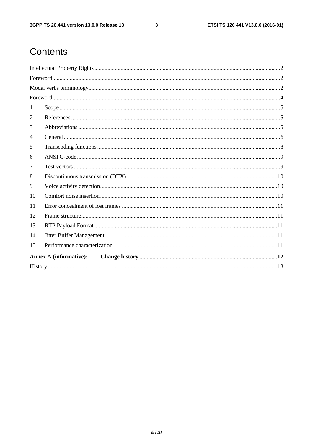$\mathbf{3}$ 

## Contents

| $\textbf{For} \textit{word}.\textit{________} \textit{________} \textit{________} \textit{________} \textit{________} \textit{________} \textit{________} \textit{________} \textit{________} \textit{________} \textit{________} \textit{________} \textit{________} \textit{________} \textit{________} \textit{________} \textit{________} \textit{________} \textit{________} \textit{________} \textit{________} \textit{________} \textit{________} \textit{________} \textit{________} \textit{________} \textit{________} \textit{________} \textit{________} \textit{________} \textit{________} \textit{________} \textit{________} \textit{________} \textit{$ |  |  |  |  |
|---------------------------------------------------------------------------------------------------------------------------------------------------------------------------------------------------------------------------------------------------------------------------------------------------------------------------------------------------------------------------------------------------------------------------------------------------------------------------------------------------------------------------------------------------------------------------------------------------------------------------------------------------------------------------|--|--|--|--|
|                                                                                                                                                                                                                                                                                                                                                                                                                                                                                                                                                                                                                                                                           |  |  |  |  |
|                                                                                                                                                                                                                                                                                                                                                                                                                                                                                                                                                                                                                                                                           |  |  |  |  |
| 1                                                                                                                                                                                                                                                                                                                                                                                                                                                                                                                                                                                                                                                                         |  |  |  |  |
| 2                                                                                                                                                                                                                                                                                                                                                                                                                                                                                                                                                                                                                                                                         |  |  |  |  |
| 3                                                                                                                                                                                                                                                                                                                                                                                                                                                                                                                                                                                                                                                                         |  |  |  |  |
| 4                                                                                                                                                                                                                                                                                                                                                                                                                                                                                                                                                                                                                                                                         |  |  |  |  |
| 5                                                                                                                                                                                                                                                                                                                                                                                                                                                                                                                                                                                                                                                                         |  |  |  |  |
| 6                                                                                                                                                                                                                                                                                                                                                                                                                                                                                                                                                                                                                                                                         |  |  |  |  |
| 7                                                                                                                                                                                                                                                                                                                                                                                                                                                                                                                                                                                                                                                                         |  |  |  |  |
| 8                                                                                                                                                                                                                                                                                                                                                                                                                                                                                                                                                                                                                                                                         |  |  |  |  |
| 9                                                                                                                                                                                                                                                                                                                                                                                                                                                                                                                                                                                                                                                                         |  |  |  |  |
| 10                                                                                                                                                                                                                                                                                                                                                                                                                                                                                                                                                                                                                                                                        |  |  |  |  |
| 11                                                                                                                                                                                                                                                                                                                                                                                                                                                                                                                                                                                                                                                                        |  |  |  |  |
| 12                                                                                                                                                                                                                                                                                                                                                                                                                                                                                                                                                                                                                                                                        |  |  |  |  |
| 13                                                                                                                                                                                                                                                                                                                                                                                                                                                                                                                                                                                                                                                                        |  |  |  |  |
| 14                                                                                                                                                                                                                                                                                                                                                                                                                                                                                                                                                                                                                                                                        |  |  |  |  |
| 15                                                                                                                                                                                                                                                                                                                                                                                                                                                                                                                                                                                                                                                                        |  |  |  |  |
| <b>Annex A (informative):</b>                                                                                                                                                                                                                                                                                                                                                                                                                                                                                                                                                                                                                                             |  |  |  |  |
|                                                                                                                                                                                                                                                                                                                                                                                                                                                                                                                                                                                                                                                                           |  |  |  |  |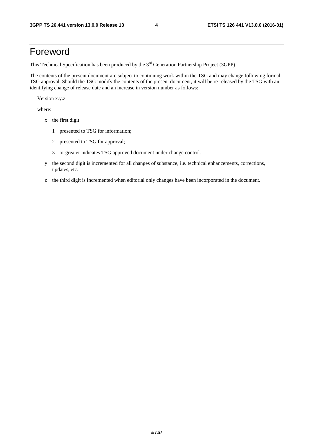#### Foreword

This Technical Specification has been produced by the 3<sup>rd</sup> Generation Partnership Project (3GPP).

The contents of the present document are subject to continuing work within the TSG and may change following formal TSG approval. Should the TSG modify the contents of the present document, it will be re-released by the TSG with an identifying change of release date and an increase in version number as follows:

Version x.y.z

where:

- x the first digit:
	- 1 presented to TSG for information;
	- 2 presented to TSG for approval;
	- 3 or greater indicates TSG approved document under change control.
- y the second digit is incremented for all changes of substance, i.e. technical enhancements, corrections, updates, etc.
- z the third digit is incremented when editorial only changes have been incorporated in the document.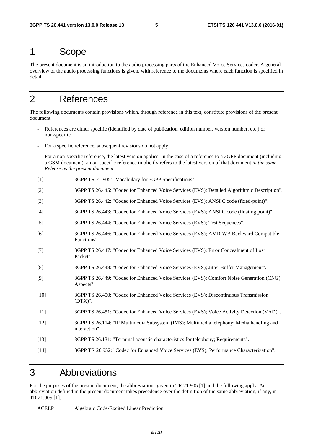#### 1 Scope

The present document is an introduction to the audio processing parts of the Enhanced Voice Services coder. A general overview of the audio processing functions is given, with reference to the documents where each function is specified in detail.

### 2 References

The following documents contain provisions which, through reference in this text, constitute provisions of the present document.

- References are either specific (identified by date of publication, edition number, version number, etc.) or non-specific.
- For a specific reference, subsequent revisions do not apply.
- For a non-specific reference, the latest version applies. In the case of a reference to a 3GPP document (including a GSM document), a non-specific reference implicitly refers to the latest version of that document *in the same Release as the present document*.
- [1] 3GPP TR 21.905: "Vocabulary for 3GPP Specifications".
- [2] 3GPP TS 26.445: "Codec for Enhanced Voice Services (EVS); Detailed Algorithmic Description".
- [3] 3GPP TS 26.442: "Codec for Enhanced Voice Services (EVS); ANSI C code (fixed-point)".
- [4] 3GPP TS 26.443: "Codec for Enhanced Voice Services (EVS); ANSI C code (floating point)".
- [5] 3GPP TS 26.444: "Codec for Enhanced Voice Services (EVS); Test Sequences".
- [6] 3GPP TS 26.446: "Codec for Enhanced Voice Services (EVS); AMR-WB Backward Compatible Functions".
- [7] 3GPP TS 26.447: "Codec for Enhanced Voice Services (EVS); Error Concealment of Lost Packets".
- [8] 3GPP TS 26.448: "Codec for Enhanced Voice Services (EVS); Jitter Buffer Management".
- [9] 3GPP TS 26.449: "Codec for Enhanced Voice Services (EVS); Comfort Noise Generation (CNG) Aspects".
- [10] 3GPP TS 26.450: "Codec for Enhanced Voice Services (EVS); Discontinuous Transmission (DTX)".
- [11] 3GPP TS 26.451: "Codec for Enhanced Voice Services (EVS); Voice Activity Detection (VAD)".
- [12] 3GPP TS 26.114: "IP Multimedia Subsystem (IMS); Multimedia telephony; Media handling and interaction".
- [13] 3GPP TS 26.131: "Terminal acoustic characteristics for telephony; Requirements".
- [14] 3GPP TR 26.952: "Codec for Enhanced Voice Services (EVS); Performance Characterization".

#### 3 Abbreviations

For the purposes of the present document, the abbreviations given in TR 21.905 [1] and the following apply. An abbreviation defined in the present document takes precedence over the definition of the same abbreviation, if any, in TR 21.905 [1].

ACELP Algebraic Code-Excited Linear Prediction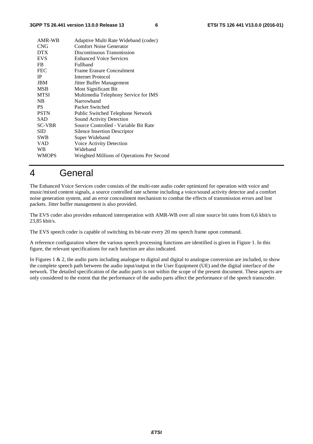| AMR-WB        | Adaptive Multi Rate Wideband (codec)       |
|---------------|--------------------------------------------|
| <b>CNG</b>    | <b>Comfort Noise Generator</b>             |
| <b>DTX</b>    | Discontinuous Transmission                 |
| <b>EVS</b>    | <b>Enhanced Voice Services</b>             |
| FB            | Fullband                                   |
| <b>FEC</b>    | Frame Erasure Concealment                  |
| <b>IP</b>     | Internet Protocol                          |
| <b>JBM</b>    | Jitter Buffer Management                   |
| <b>MSB</b>    | <b>Most Significant Bit</b>                |
| <b>MTSI</b>   | Multimedia Telephony Service for IMS       |
| NB            | Narrowhand                                 |
| <b>PS</b>     | Packet Switched                            |
| <b>PSTN</b>   | Public Switched Telephone Network          |
| SAD           | Sound Activity Detection                   |
| <b>SC-VBR</b> | Source Controlled - Variable Bit Rate      |
| <b>SID</b>    | Silence Insertion Descriptor               |
| <b>SWB</b>    | Super Wideband                             |
| VAD           | Voice Activity Detection                   |
| WB            | Wideband                                   |
| <b>WMOPS</b>  | Weighted Millions of Operations Per Second |
|               |                                            |

### 4 General

The Enhanced Voice Services coder consists of the multi-rate audio coder optimized for operation with voice and music/mixed content signals, a source controlled rate scheme including a voice/sound activity detector and a comfort noise generation system, and an error concealment mechanism to combat the effects of transmission errors and lost packets. Jitter buffer management is also provided.

The EVS coder also provides enhanced interoperation with AMR-WB over all nine source bit rates from 6,6 kbit/s to 23,85 kbit/s.

The EVS speech coder is capable of switching its bit-rate every 20 ms speech frame upon command.

A reference configuration where the various speech processing functions are identified is given in Figure 1. In this figure, the relevant specifications for each function are also indicated.

In Figures 1  $\&$  2, the audio parts including analogue to digital and digital to analogue conversion are included, to show the complete speech path between the audio input/output in the User Equipment (UE) and the digital interface of the network. The detailed specification of the audio parts is not within the scope of the present document. These aspects are only considered to the extent that the performance of the audio parts affect the performance of the speech transcoder.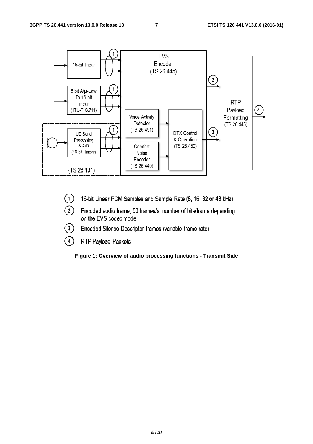

- $\boxed{1}$ 16-bit Linear PCM Samples and Sample Rate (8, 16, 32 or 48 kHz)
- $\Omega)$ Encoded audio frame, 50 frames/s, number of bits/frame depending on the EVS codec mode
- $\left(3\right)$ Encoded Silence Descriptor frames (variable frame rate)
- $\bigcap$ RTP Payload Packets

**Figure 1: Overview of audio processing functions - Transmit Side**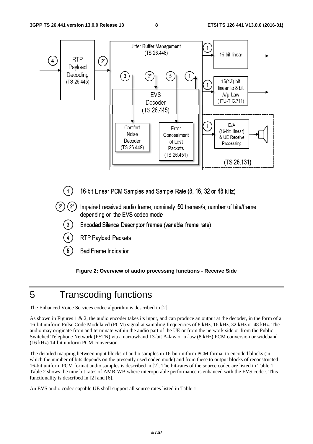

#### **Figure 2: Overview of audio processing functions - Receive Side**

#### 5 Transcoding functions

The Enhanced Voice Services codec algorithm is described in [2].

As shown in Figures 1 & 2, the audio encoder takes its input, and can produce an output at the decoder, in the form of a 16-bit uniform Pulse Code Modulated (PCM) signal at sampling frequencies of 8 kHz, 16 kHz, 32 kHz or 48 kHz. The audio may originate from and terminate within the audio part of the UE or from the network side or from the Public Switched Telephone Network (PSTN) via a narrowband 13-bit A-law or  $\mu$ -law (8 kHz) PCM conversion or wideband (16 kHz) 14-bit uniform PCM conversion.

The detailed mapping between input blocks of audio samples in 16-bit uniform PCM format to encoded blocks (in which the number of bits depends on the presently used codec mode) and from these to output blocks of reconstructed 16-bit uniform PCM format audio samples is described in [2]. The bit-rates of the source codec are listed in Table 1. Table 2 shows the nine bit rates of AMR-WB where interoperable performance is enhanced with the EVS codec. This functionality is described in [2] and [6].

An EVS audio codec capable UE shall support all source rates listed in Table 1.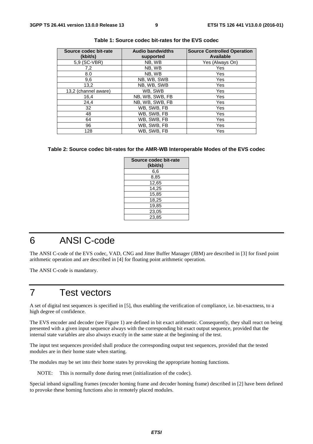| Source codec bit-rate<br>(kbit/s) | <b>Audio bandwidths</b><br>supported | <b>Source Controlled Operation</b><br><b>Available</b> |
|-----------------------------------|--------------------------------------|--------------------------------------------------------|
| 5,9 (SC-VBR)                      | NB, WB                               | Yes (Always On)                                        |
| 7,2                               | NB. WB                               | Yes                                                    |
| 8.0                               | NB. WB                               | Yes                                                    |
| 9,6                               | NB, WB, SWB                          | Yes                                                    |
| 13,2                              | NB, WB, SWB                          | Yes                                                    |
| 13,2 (channel aware)              | WB, SWB                              | Yes                                                    |
| 16,4                              | NB, WB, SWB, FB                      | Yes                                                    |
| 24,4                              | NB, WB, SWB, FB                      | Yes                                                    |
| 32                                | WB, SWB, FB                          | Yes                                                    |
| 48                                | WB, SWB, FB                          | Yes                                                    |
| 64                                | WB, SWB, FB                          | Yes                                                    |
| 96                                | WB, SWB, FB                          | <b>Yes</b>                                             |
| 128                               | WB, SWB, FB                          | Yes                                                    |

**Table 1: Source codec bit-rates for the EVS codec** 

#### **Table 2: Source codec bit-rates for the AMR-WB Interoperable Modes of the EVS codec**

| Source codec bit-rate<br>(kbit/s) |
|-----------------------------------|
| 6,6                               |
| 8,85                              |
| 12,65                             |
| 14,25                             |
| 15,85                             |
| 18,25                             |
| 19,85                             |
| 23,05                             |
| 23,85                             |

### 6 ANSI C-code

The ANSI C-code of the EVS codec, VAD, CNG and Jitter Buffer Manager (JBM) are described in [3] for fixed point arithmetic operation and are described in [4] for floating point arithmetic operation.

The ANSI C-code is mandatory.

#### 7 Test vectors

A set of digital test sequences is specified in [5], thus enabling the verification of compliance, i.e. bit-exactness, to a high degree of confidence.

The EVS encoder and decoder (see Figure 1) are defined in bit exact arithmetic. Consequently, they shall react on being presented with a given input sequence always with the corresponding bit exact output sequence, provided that the internal state variables are also always exactly in the same state at the beginning of the test.

The input test sequences provided shall produce the corresponding output test sequences, provided that the tested modules are in their home state when starting.

The modules may be set into their home states by provoking the appropriate homing functions.

NOTE: This is normally done during reset (initialization of the codec).

Special inband signalling frames (encoder homing frame and decoder homing frame) described in [2] have been defined to provoke these homing functions also in remotely placed modules.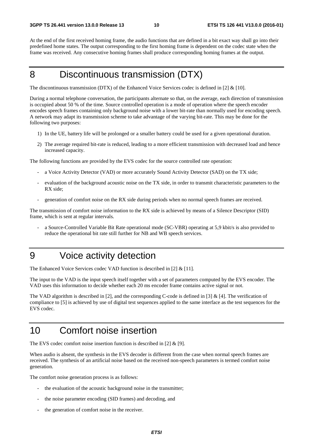At the end of the first received homing frame, the audio functions that are defined in a bit exact way shall go into their predefined home states. The output corresponding to the first homing frame is dependent on the codec state when the frame was received. Any consecutive homing frames shall produce corresponding homing frames at the output.

### 8 Discontinuous transmission (DTX)

The discontinuous transmission (DTX) of the Enhanced Voice Services codec is defined in [2]  $\&$  [10].

During a normal telephone conversation, the participants alternate so that, on the average, each direction of transmission is occupied about 50 % of the time. Source controlled operation is a mode of operation where the speech encoder encodes speech frames containing only background noise with a lower bit-rate than normally used for encoding speech. A network may adapt its transmission scheme to take advantage of the varying bit-rate. This may be done for the following two purposes:

- 1) In the UE, battery life will be prolonged or a smaller battery could be used for a given operational duration.
- 2) The average required bit-rate is reduced, leading to a more efficient transmission with decreased load and hence increased capacity.

The following functions are provided by the EVS codec for the source controlled rate operation:

- a Voice Activity Detector (VAD) or more accurately Sound Activity Detector (SAD) on the TX side;
- evaluation of the background acoustic noise on the TX side, in order to transmit characteristic parameters to the RX side;
- generation of comfort noise on the RX side during periods when no normal speech frames are received.

The transmission of comfort noise information to the RX side is achieved by means of a Silence Descriptor (SID) frame, which is sent at regular intervals.

- a Source-Controlled Variable Bit Rate operational mode (SC-VBR) operating at 5,9 kbit/s is also provided to reduce the operational bit rate still further for NB and WB speech services.
- 9 Voice activity detection

The Enhanced Voice Services codec VAD function is described in [2] & [11].

The input to the VAD is the input speech itself together with a set of parameters computed by the EVS encoder. The VAD uses this information to decide whether each 20 ms encoder frame contains active signal or not.

The VAD algorithm is described in [2], and the corresponding C-code is defined in [3] & [4]. The verification of compliance to [5] is achieved by use of digital test sequences applied to the same interface as the test sequences for the EVS codec.

### 10 Comfort noise insertion

The EVS codec comfort noise insertion function is described in [2] & [9].

When audio is absent, the synthesis in the EVS decoder is different from the case when normal speech frames are received. The synthesis of an artificial noise based on the received non-speech parameters is termed comfort noise generation.

The comfort noise generation process is as follows:

- the evaluation of the acoustic background noise in the transmitter;
- the noise parameter encoding (SID frames) and decoding, and
- the generation of comfort noise in the receiver.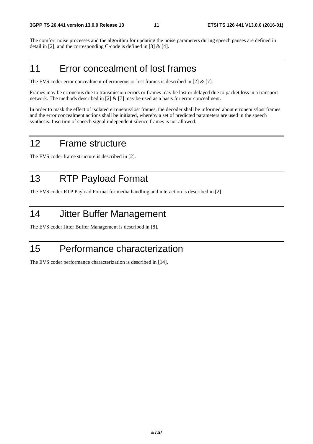The comfort noise processes and the algorithm for updating the noise parameters during speech pauses are defined in detail in [2], and the corresponding C-code is defined in [3]  $\&$  [4].

### 11 Error concealment of lost frames

The EVS coder error concealment of erroneous or lost frames is described in [2] & [7].

Frames may be erroneous due to transmission errors or frames may be lost or delayed due to packet loss in a transport network. The methods described in [2] & [7] may be used as a basis for error concealment.

In order to mask the effect of isolated erroneous/lost frames, the decoder shall be informed about erroneous/lost frames and the error concealment actions shall be initiated, whereby a set of predicted parameters are used in the speech synthesis. Insertion of speech signal independent silence frames is not allowed.

#### 12 Frame structure

The EVS coder frame structure is described in [2].

### 13 RTP Payload Format

The EVS coder RTP Payload Format for media handling and interaction is described in [2].

#### 14 Jitter Buffer Management

The EVS coder Jitter Buffer Management is described in [8].

#### 15 Performance characterization

The EVS coder performance characterization is described in [14].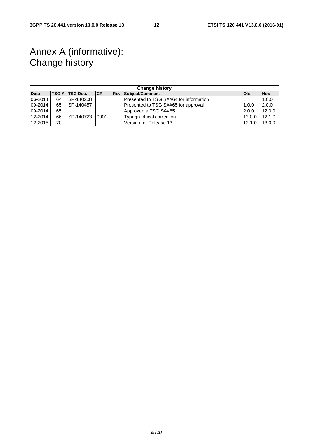### Annex A (informative): Change history

| <b>Change history</b> |    |                         |           |  |                                        |            |            |
|-----------------------|----|-------------------------|-----------|--|----------------------------------------|------------|------------|
| <b>Date</b>           |    | <b>ITSG # ITSG Doc.</b> | <b>CR</b> |  | <b>Rev Subject/Comment</b>             | <b>Old</b> | <b>New</b> |
| 06-2014               | 64 | <b>SP-140208</b>        |           |  | Presented to TSG SA#64 for information |            | 1.0.0      |
| 09-2014               | 65 | SP-140457               |           |  | Presented to TSG SA#65 for approval    | 1.0.0      | 2.0.0      |
| 09-2014               | 65 |                         |           |  | Approved a TSG SA#65                   | 2.0.0      | 12.0.0     |
| 12-2014               | 66 | SP-140723               | 0001      |  | Typographical correction               | 12.0.0     | 12.1.0     |
| 12-2015               | 70 |                         |           |  | Version for Release 13                 | 12.1.0     | 13.0.0     |